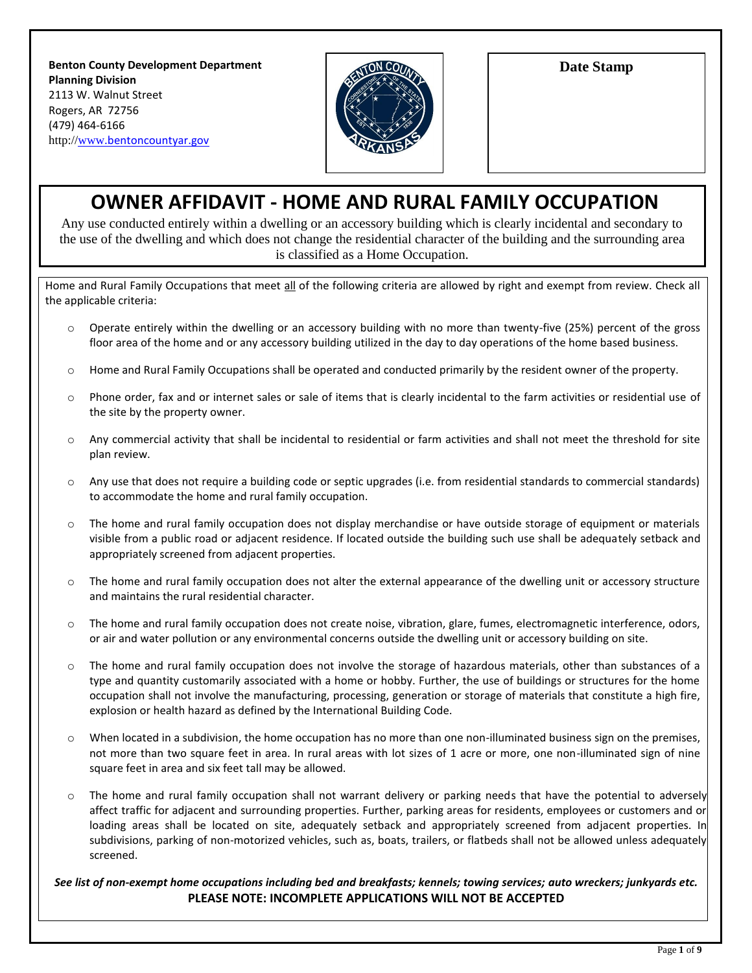**Benton County Development Department Planning Division** 2113 W. Walnut Street Rogers, AR 72756 (479) 464-6166 http://www[.bentoncountyar.gov](www.bentoncountyar.gov)



**Date Stamp**

# **OWNER AFFIDAVIT - HOME AND RURAL FAMILY OCCUPATION**

Any use conducted entirely within a dwelling or an accessory building which is clearly incidental and secondary to the use of the dwelling and which does not change the residential character of the building and the surrounding area is classified as a Home Occupation.

Home and Rural Family Occupations that meet all of the following criteria are allowed by right and exempt from review. Check all the applicable criteria:

- o Operate entirely within the dwelling or an accessory building with no more than twenty-five (25%) percent of the gross floor area of the home and or any accessory building utilized in the day to day operations of the home based business.
- $\circ$  Home and Rural Family Occupations shall be operated and conducted primarily by the resident owner of the property.
- o Phone order, fax and or internet sales or sale of items that is clearly incidental to the farm activities or residential use of the site by the property owner.
- o Any commercial activity that shall be incidental to residential or farm activities and shall not meet the threshold for site plan review.
- $\circ$  Any use that does not require a building code or septic upgrades (i.e. from residential standards to commercial standards) to accommodate the home and rural family occupation.
- $\circ$  The home and rural family occupation does not display merchandise or have outside storage of equipment or materials visible from a public road or adjacent residence. If located outside the building such use shall be adequately setback and appropriately screened from adjacent properties.
- o The home and rural family occupation does not alter the external appearance of the dwelling unit or accessory structure and maintains the rural residential character.
- o The home and rural family occupation does not create noise, vibration, glare, fumes, electromagnetic interference, odors, or air and water pollution or any environmental concerns outside the dwelling unit or accessory building on site.
- o The home and rural family occupation does not involve the storage of hazardous materials, other than substances of a type and quantity customarily associated with a home or hobby. Further, the use of buildings or structures for the home occupation shall not involve the manufacturing, processing, generation or storage of materials that constitute a high fire, explosion or health hazard as defined by the International Building Code.
- $\circ$  When located in a subdivision, the home occupation has no more than one non-illuminated business sign on the premises, not more than two square feet in area. In rural areas with lot sizes of 1 acre or more, one non-illuminated sign of nine square feet in area and six feet tall may be allowed.
- $\circ$  The home and rural family occupation shall not warrant delivery or parking needs that have the potential to adversely affect traffic for adjacent and surrounding properties. Further, parking areas for residents, employees or customers and or loading areas shall be located on site, adequately setback and appropriately screened from adjacent properties. In subdivisions, parking of non-motorized vehicles, such as, boats, trailers, or flatbeds shall not be allowed unless adequately screened.

#### *See list of non-exempt home occupations including bed and breakfasts; kennels; towing services; auto wreckers; junkyards etc.* **PLEASE NOTE: INCOMPLETE APPLICATIONS WILL NOT BE ACCEPTED**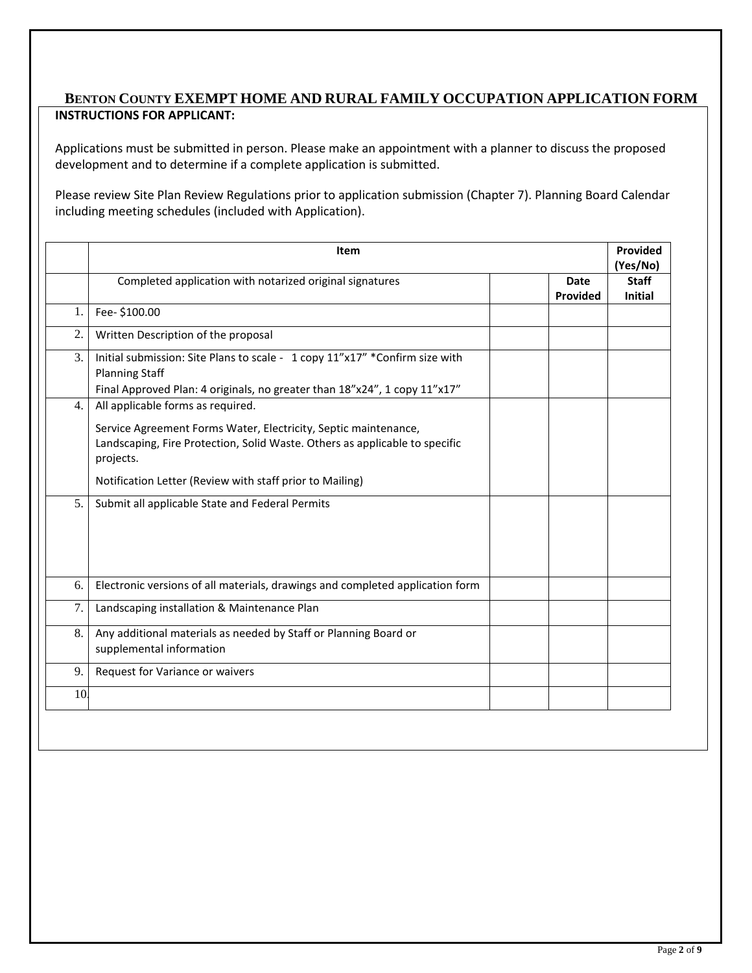### **BENTON COUNTY EXEMPT HOME AND RURAL FAMILY OCCUPATION APPLICATION FORM INSTRUCTIONS FOR APPLICANT:**

Applications must be submitted in person. Please make an appointment with a planner to discuss the proposed development and to determine if a complete application is submitted.

Please review Site Plan Review Regulations prior to application submission (Chapter 7). Planning Board Calendar including meeting schedules (included with Application).

|    | Item                                                                                                                                                        |                         |                                |
|----|-------------------------------------------------------------------------------------------------------------------------------------------------------------|-------------------------|--------------------------------|
|    | Completed application with notarized original signatures                                                                                                    | <b>Date</b><br>Provided | <b>Staff</b><br><b>Initial</b> |
| 1. | Fee- \$100.00                                                                                                                                               |                         |                                |
| 2. | Written Description of the proposal                                                                                                                         |                         |                                |
| 3. | Initial submission: Site Plans to scale - 1 copy 11"x17" *Confirm size with<br><b>Planning Staff</b>                                                        |                         |                                |
| 4. | Final Approved Plan: 4 originals, no greater than 18"x24", 1 copy 11"x17"<br>All applicable forms as required.                                              |                         |                                |
|    | Service Agreement Forms Water, Electricity, Septic maintenance,<br>Landscaping, Fire Protection, Solid Waste. Others as applicable to specific<br>projects. |                         |                                |
|    | Notification Letter (Review with staff prior to Mailing)                                                                                                    |                         |                                |
| 5. | Submit all applicable State and Federal Permits                                                                                                             |                         |                                |
| 6. | Electronic versions of all materials, drawings and completed application form                                                                               |                         |                                |
| 7. | Landscaping installation & Maintenance Plan                                                                                                                 |                         |                                |
| 8. | Any additional materials as needed by Staff or Planning Board or<br>supplemental information                                                                |                         |                                |
| 9. | Request for Variance or waivers                                                                                                                             |                         |                                |
| 10 |                                                                                                                                                             |                         |                                |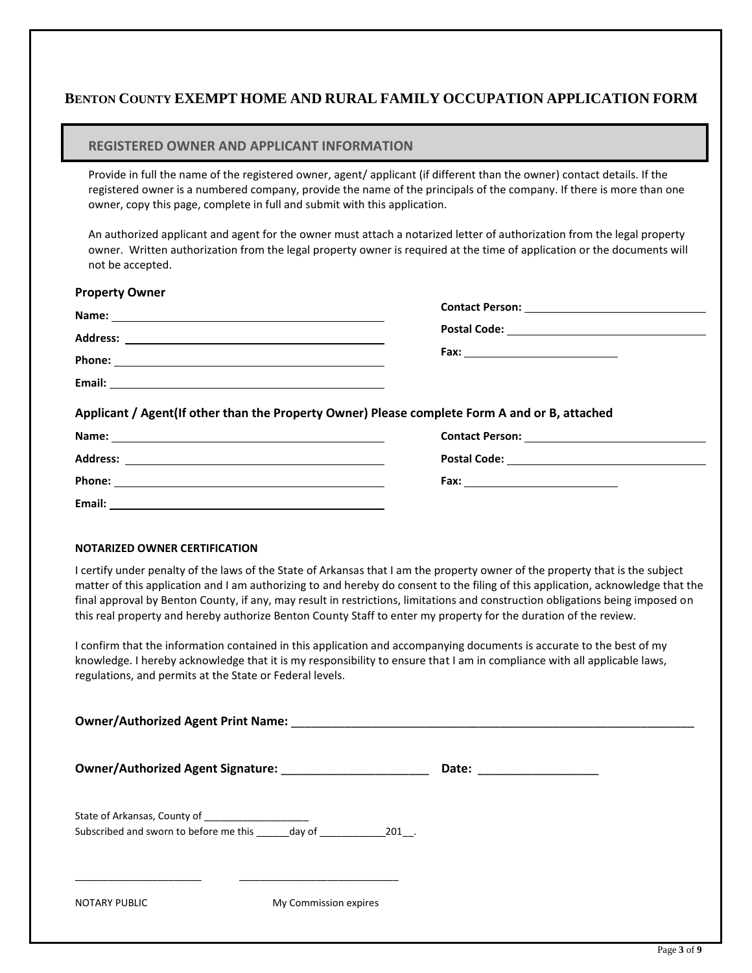## **BENTON COUNTY EXEMPT HOME AND RURAL FAMILY OCCUPATION APPLICATION FORM**

#### **REGISTERED OWNER AND APPLICANT INFORMATION**

Provide in full the name of the registered owner, agent/ applicant (if different than the owner) contact details. If the registered owner is a numbered company, provide the name of the principals of the company. If there is more than one owner, copy this page, complete in full and submit with this application.

An authorized applicant and agent for the owner must attach a notarized letter of authorization from the legal property owner. Written authorization from the legal property owner is required at the time of application or the documents will not be accepted.

| <b>Property Owner</b> |                                                                                               |
|-----------------------|-----------------------------------------------------------------------------------------------|
|                       |                                                                                               |
|                       |                                                                                               |
|                       |                                                                                               |
|                       |                                                                                               |
|                       | Applicant / Agent(If other than the Property Owner) Please complete Form A and or B, attached |
| Nomo:                 | Contact Dorcon:                                                                               |

| Name:           | <b>Contact Person:</b> |
|-----------------|------------------------|
|                 |                        |
| <b>Address:</b> | <b>Postal Code:</b>    |
|                 |                        |
| Phone:          | Fax:                   |
|                 |                        |
| Email:          |                        |

#### **NOTARIZED OWNER CERTIFICATION**

I certify under penalty of the laws of the State of Arkansas that I am the property owner of the property that is the subject matter of this application and I am authorizing to and hereby do consent to the filing of this application, acknowledge that the final approval by Benton County, if any, may result in restrictions, limitations and construction obligations being imposed on this real property and hereby authorize Benton County Staff to enter my property for the duration of the review.

I confirm that the information contained in this application and accompanying documents is accurate to the best of my knowledge. I hereby acknowledge that it is my responsibility to ensure that I am in compliance with all applicable laws, regulations, and permits at the State or Federal levels.

| Owner/Authorized Agent Print Name: Name and American control of the Control of the Control of the Control of the Control of the Control of the Control of the Control of the Control of the Control of the Control of the Cont |                       |                           |  |  |
|--------------------------------------------------------------------------------------------------------------------------------------------------------------------------------------------------------------------------------|-----------------------|---------------------------|--|--|
|                                                                                                                                                                                                                                |                       | Date: ___________________ |  |  |
| State of Arkansas, County of _______________________<br>Subscribed and sworn to before me this day of 201 .                                                                                                                    |                       |                           |  |  |
| <b>NOTARY PUBLIC</b>                                                                                                                                                                                                           | My Commission expires |                           |  |  |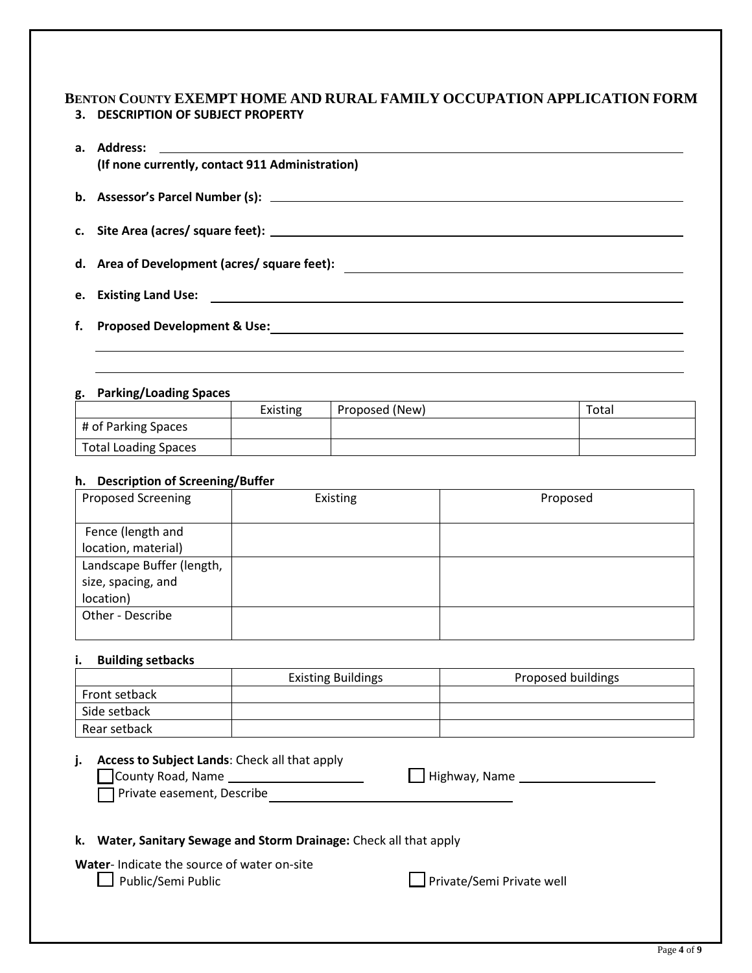### **BENTON COUNTY EXEMPT HOME AND RURAL FAMILY OCCUPATION APPLICATION FORM 3. DESCRIPTION OF SUBJECT PROPERTY**

| (If none currently, contact 911 Administration) |
|-------------------------------------------------|
|                                                 |
|                                                 |
|                                                 |
|                                                 |
|                                                 |

#### **g. Parking/Loading Spaces**

|                             | <b>Existing</b> | Proposed (New) | Total |
|-----------------------------|-----------------|----------------|-------|
| # of Parking Spaces         |                 |                |       |
| <b>Total Loading Spaces</b> |                 |                |       |

#### **h. Description of Screening/Buffer**

| <b>Proposed Screening</b> | Existing | Proposed |
|---------------------------|----------|----------|
|                           |          |          |
| Fence (length and         |          |          |
| location, material)       |          |          |
| Landscape Buffer (length, |          |          |
| size, spacing, and        |          |          |
| location)                 |          |          |
| Other - Describe          |          |          |
|                           |          |          |

#### **i. Building setbacks**

|               | <b>Existing Buildings</b> | Proposed buildings |
|---------------|---------------------------|--------------------|
| Front setback |                           |                    |
| Side setback  |                           |                    |
| Rear setback  |                           |                    |

#### **j. Access to Subject Lands**: Check all that apply

| County Road, Name          | $\Box$ Highway, Name |  |
|----------------------------|----------------------|--|
| Private easement, Describe |                      |  |

#### **k. Water, Sanitary Sewage and Storm Drainage:** Check all that apply

**Water**- Indicate the source of water on-site

□ Public/Semi Public Public Private/Semi Private well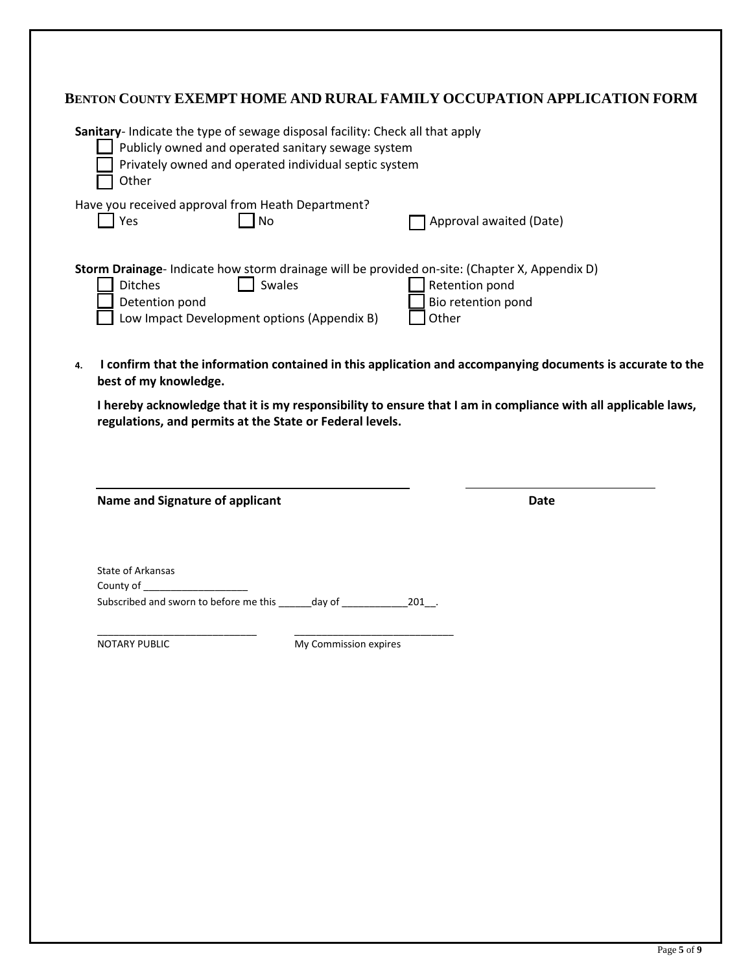|    |                                                                                                                                                                                                       |                                                                  | BENTON COUNTY EXEMPT HOME AND RURAL FAMILY OCCUPATION APPLICATION FORM                                                                         |  |  |
|----|-------------------------------------------------------------------------------------------------------------------------------------------------------------------------------------------------------|------------------------------------------------------------------|------------------------------------------------------------------------------------------------------------------------------------------------|--|--|
|    | Sanitary- Indicate the type of sewage disposal facility: Check all that apply<br>Publicly owned and operated sanitary sewage system<br>Privately owned and operated individual septic system<br>Other |                                                                  |                                                                                                                                                |  |  |
|    | $\Box$ Yes                                                                                                                                                                                            | Have you received approval from Heath Department?<br><b>No</b>   | Approval awaited (Date)                                                                                                                        |  |  |
|    | <b>Ditches</b><br>Detention pond                                                                                                                                                                      | $\Box$ Swales<br>Low Impact Development options (Appendix B)     | Storm Drainage- Indicate how storm drainage will be provided on-site: (Chapter X, Appendix D)<br>Retention pond<br>Bio retention pond<br>Other |  |  |
| 4. | best of my knowledge.                                                                                                                                                                                 |                                                                  | I confirm that the information contained in this application and accompanying documents is accurate to the                                     |  |  |
|    |                                                                                                                                                                                                       | regulations, and permits at the State or Federal levels.         | I hereby acknowledge that it is my responsibility to ensure that I am in compliance with all applicable laws,                                  |  |  |
|    | <b>Name and Signature of applicant</b>                                                                                                                                                                |                                                                  | <b>Date</b>                                                                                                                                    |  |  |
|    | State of Arkansas<br>County of __                                                                                                                                                                     | Subscribed and sworn to before me this ______ day of ___________ | 201 .                                                                                                                                          |  |  |
|    | <b>NOTARY PUBLIC</b>                                                                                                                                                                                  | My Commission expires                                            |                                                                                                                                                |  |  |
|    |                                                                                                                                                                                                       |                                                                  |                                                                                                                                                |  |  |
|    |                                                                                                                                                                                                       |                                                                  |                                                                                                                                                |  |  |
|    |                                                                                                                                                                                                       |                                                                  |                                                                                                                                                |  |  |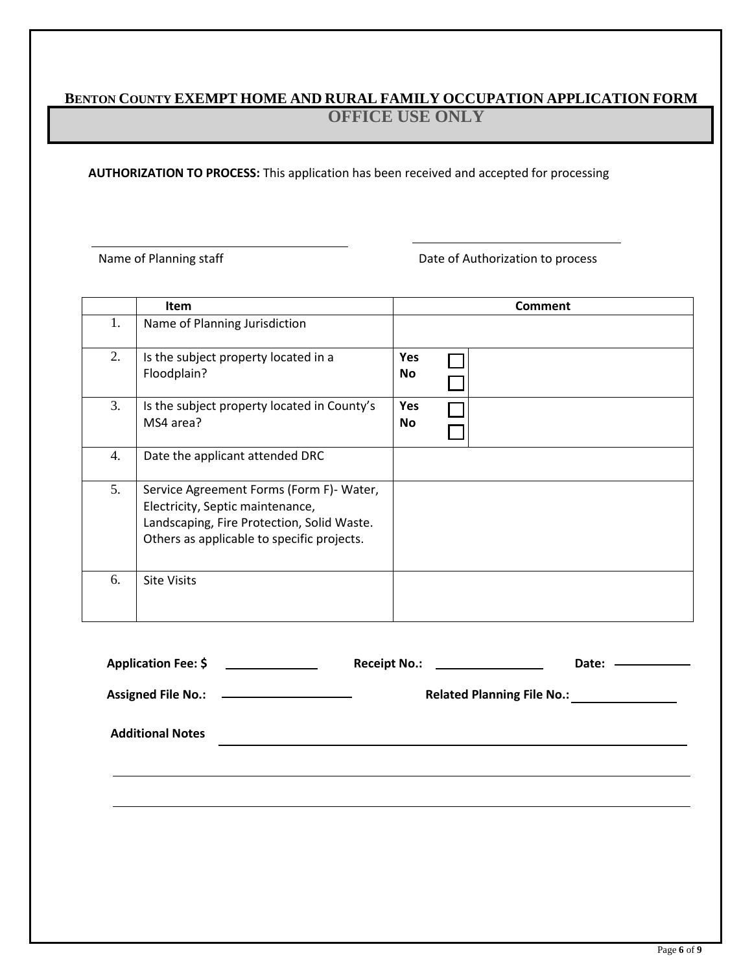# **BENTON COUNTY EXEMPT HOME AND RURAL FAMILY OCCUPATION APPLICATION FORM OFFICE USE ONLY**

**AUTHORIZATION TO PROCESS:** This application has been received and accepted for processing

Name of Planning staff **Date of Authorization to process** 

|    | <b>Item</b>                                                                                                                                                              |                         | <b>Comment</b> |
|----|--------------------------------------------------------------------------------------------------------------------------------------------------------------------------|-------------------------|----------------|
| 1. | Name of Planning Jurisdiction                                                                                                                                            |                         |                |
| 2. | Is the subject property located in a<br>Floodplain?                                                                                                                      | Yes<br><b>No</b>        |                |
| 3. | Is the subject property located in County's<br>MS4 area?                                                                                                                 | <b>Yes</b><br><b>No</b> |                |
| 4. | Date the applicant attended DRC                                                                                                                                          |                         |                |
| 5. | Service Agreement Forms (Form F)- Water,<br>Electricity, Septic maintenance,<br>Landscaping, Fire Protection, Solid Waste.<br>Others as applicable to specific projects. |                         |                |
| 6. | <b>Site Visits</b>                                                                                                                                                       |                         |                |

| Application Fee: \$                        | Receipt No.: $\qquad \qquad$ | Date: ——————                                 |
|--------------------------------------------|------------------------------|----------------------------------------------|
| Assigned File No.: _______________________ |                              | Related Planning File No.: _________________ |
| <b>Additional Notes</b>                    |                              |                                              |
|                                            |                              |                                              |
|                                            |                              |                                              |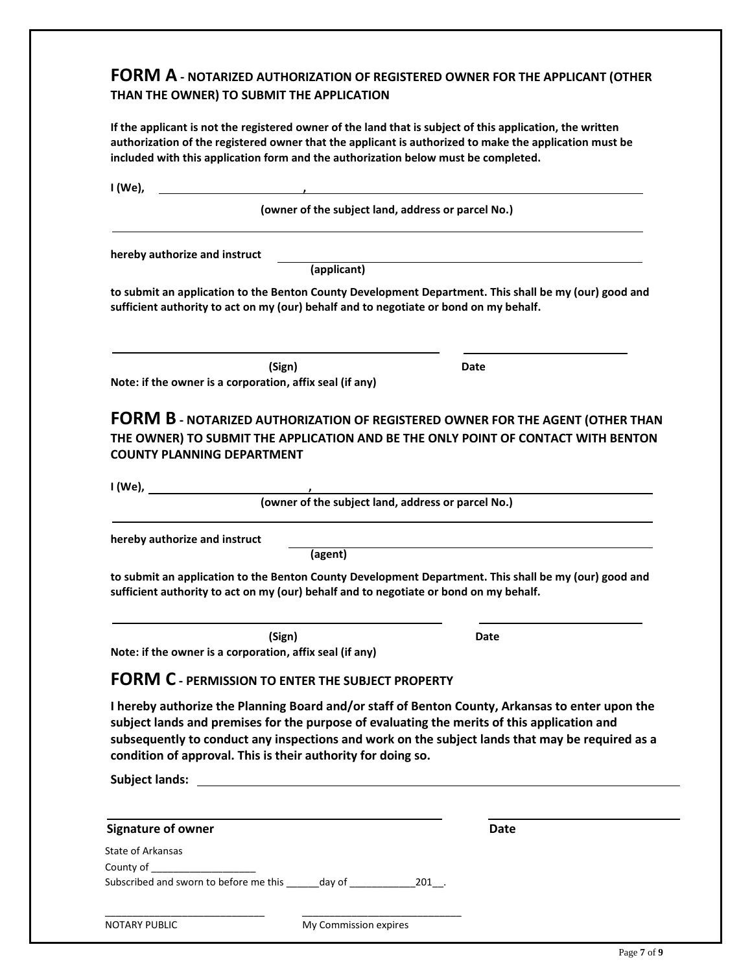# **FORM A - NOTARIZED AUTHORIZATION OF REGISTERED OWNER FOR THE APPLICANT (OTHER THAN THE OWNER) TO SUBMIT THE APPLICATION**

**If the applicant is not the registered owner of the land that is subject of this application, the written authorization of the registered owner that the applicant is authorized to make the application must be included with this application form and the authorization below must be completed.**

|                                                                                                                                                                                                                                                                                                                                                                   | (owner of the subject land, address or parcel No.)                                                               |
|-------------------------------------------------------------------------------------------------------------------------------------------------------------------------------------------------------------------------------------------------------------------------------------------------------------------------------------------------------------------|------------------------------------------------------------------------------------------------------------------|
| hereby authorize and instruct                                                                                                                                                                                                                                                                                                                                     | and the control of the control of the control of the control of the control of the control of the control of the |
| (applicant)                                                                                                                                                                                                                                                                                                                                                       |                                                                                                                  |
| to submit an application to the Benton County Development Department. This shall be my (our) good and<br>sufficient authority to act on my (our) behalf and to negotiate or bond on my behalf.                                                                                                                                                                    |                                                                                                                  |
| (Sign)                                                                                                                                                                                                                                                                                                                                                            | Date                                                                                                             |
| Note: if the owner is a corporation, affix seal (if any)                                                                                                                                                                                                                                                                                                          |                                                                                                                  |
| <b>COUNTY PLANNING DEPARTMENT</b>                                                                                                                                                                                                                                                                                                                                 |                                                                                                                  |
|                                                                                                                                                                                                                                                                                                                                                                   |                                                                                                                  |
| hereby authorize and instruct<br>(agent)                                                                                                                                                                                                                                                                                                                          |                                                                                                                  |
|                                                                                                                                                                                                                                                                                                                                                                   |                                                                                                                  |
| (Sign)                                                                                                                                                                                                                                                                                                                                                            | Date                                                                                                             |
| to submit an application to the Benton County Development Department. This shall be my (our) good and<br>sufficient authority to act on my (our) behalf and to negotiate or bond on my behalf.<br>Note: if the owner is a corporation, affix seal (if any)<br><b>FORM C - PERMISSION TO ENTER THE SUBJECT PROPERTY</b>                                            |                                                                                                                  |
|                                                                                                                                                                                                                                                                                                                                                                   |                                                                                                                  |
| I hereby authorize the Planning Board and/or staff of Benton County, Arkansas to enter upon the<br>subject lands and premises for the purpose of evaluating the merits of this application and<br>subsequently to conduct any inspections and work on the subject lands that may be required as a<br>condition of approval. This is their authority for doing so. |                                                                                                                  |
|                                                                                                                                                                                                                                                                                                                                                                   | Date                                                                                                             |
|                                                                                                                                                                                                                                                                                                                                                                   |                                                                                                                  |
| <b>Signature of owner</b><br><b>State of Arkansas</b><br>County of _____________________                                                                                                                                                                                                                                                                          |                                                                                                                  |
|                                                                                                                                                                                                                                                                                                                                                                   |                                                                                                                  |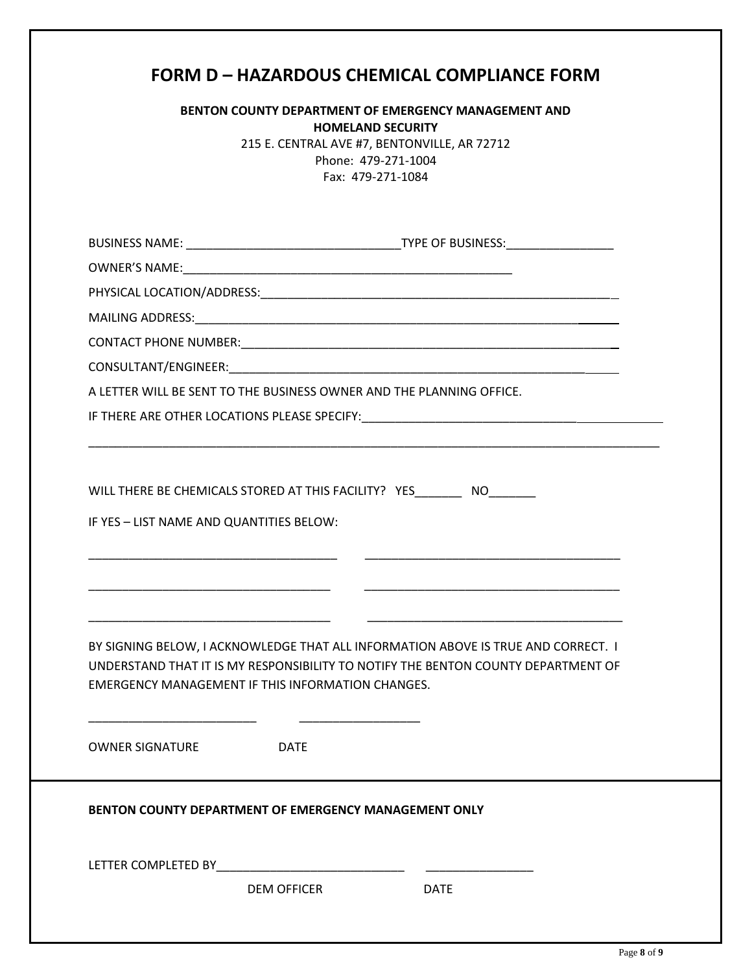|                                                                                  | <b>BENTON COUNTY DEPARTMENT OF EMERGENCY MANAGEMENT AND</b><br><b>HOMELAND SECURITY</b><br>215 E. CENTRAL AVE #7, BENTONVILLE, AR 72712<br>Phone: 479-271-1004<br>Fax: 479-271-1084 |
|----------------------------------------------------------------------------------|-------------------------------------------------------------------------------------------------------------------------------------------------------------------------------------|
|                                                                                  |                                                                                                                                                                                     |
|                                                                                  |                                                                                                                                                                                     |
|                                                                                  |                                                                                                                                                                                     |
|                                                                                  |                                                                                                                                                                                     |
|                                                                                  |                                                                                                                                                                                     |
|                                                                                  |                                                                                                                                                                                     |
|                                                                                  | A LETTER WILL BE SENT TO THE BUSINESS OWNER AND THE PLANNING OFFICE.                                                                                                                |
|                                                                                  | IF THERE ARE OTHER LOCATIONS PLEASE SPECIFY: ___________________________________                                                                                                    |
| IF YES - LIST NAME AND QUANTITIES BELOW:                                         | WILL THERE BE CHEMICALS STORED AT THIS FACILITY? YES ________ NO                                                                                                                    |
|                                                                                  |                                                                                                                                                                                     |
|                                                                                  | BY SIGNING BELOW, I ACKNOWLEDGE THAT ALL INFORMATION ABOVE IS TRUE AND CORRECT. I<br>UNDERSTAND THAT IT IS MY RESPONSIBILITY TO NOTIFY THE BENTON COUNTY DEPARTMENT OF              |
| <b>EMERGENCY MANAGEMENT IF THIS INFORMATION CHANGES.</b><br>OWNER SIGNATURE DATE |                                                                                                                                                                                     |
|                                                                                  | <b>BENTON COUNTY DEPARTMENT OF EMERGENCY MANAGEMENT ONLY</b>                                                                                                                        |